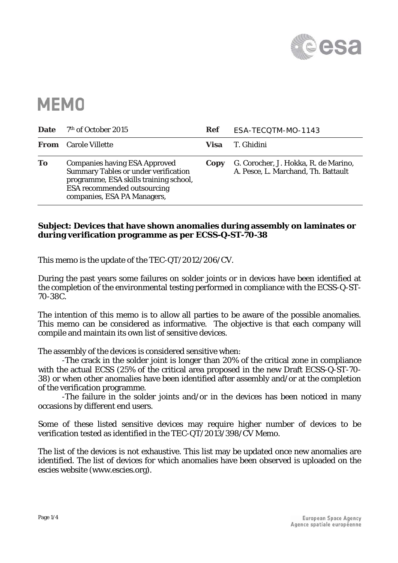

## **MEMO**

| <b>Date</b> | <sup>7th</sup> of October 2015                                                                                                                                                                     | <b>Ref</b> | ESA-TECQTM-MO-1143                                                          |
|-------------|----------------------------------------------------------------------------------------------------------------------------------------------------------------------------------------------------|------------|-----------------------------------------------------------------------------|
|             | <b>From</b> Carole Villette                                                                                                                                                                        | Visa       | T. Ghidini                                                                  |
| To          | <b>Companies having ESA Approved</b><br><b>Summary Tables or under verification</b><br>programme, ESA skills training school,<br><b>ESA</b> recommended outsourcing<br>companies, ESA PA Managers, | Copy       | G. Corocher, J. Hokka, R. de Marino,<br>A. Pesce, L. Marchand, Th. Battault |

## **Subject: Devices that have shown anomalies during assembly on laminates or during verification programme as per ECSS-Q-ST-70-38**

This memo is the update of the TEC-QT/2012/206/CV.

During the past years some failures on solder joints or in devices have been identified at the completion of the environmental testing performed in compliance with the ECSS-Q-ST-70-38C.

The intention of this memo is to allow all parties to be aware of the possible anomalies. This memo can be considered as informative. The objective is that each company will compile and maintain its own list of sensitive devices.

The assembly of the devices is considered sensitive when:

-The crack in the solder joint is longer than 20% of the critical zone in compliance with the actual ECSS (25% of the critical area proposed in the new Draft ECSS-Q-ST-70- 38) or when other anomalies have been identified after assembly and/or at the completion of the verification programme.

 -The failure in the solder joints and/or in the devices has been noticed in many occasions by different end users.

Some of these listed sensitive devices may require higher number of devices to be verification tested as identified in the TEC-QT/2013/398/CV Memo.

The list of the devices is not exhaustive. This list may be updated once new anomalies are identified. The list of devices for which anomalies have been observed is uploaded on the escies website (www.escies.org).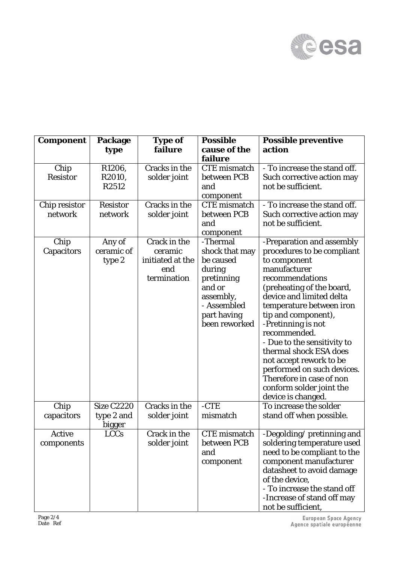

| <b>Component</b> | Package           | <b>Type of</b>   | <b>Possible</b>     | <b>Possible preventive</b>   |
|------------------|-------------------|------------------|---------------------|------------------------------|
|                  | type              | failure          | cause of the        | action                       |
|                  |                   |                  | failure             |                              |
| Chip             | R1206,            | Cracks in the    | <b>CTE</b> mismatch | - To increase the stand off. |
| <b>Resistor</b>  | R2010,            | solder joint     | between PCB         | Such corrective action may   |
|                  | R2512             |                  | and                 | not be sufficient.           |
|                  |                   |                  | component           |                              |
| Chip resistor    | <b>Resistor</b>   | Cracks in the    | <b>CTE</b> mismatch | - To increase the stand off. |
| network          | network           | solder joint     | between PCB         | Such corrective action may   |
|                  |                   |                  | and                 | not be sufficient.           |
|                  |                   |                  | component           |                              |
| Chip             | Any of            | Crack in the     | -Thermal            | -Preparation and assembly    |
| Capacitors       | ceramic of        | ceramic          | shock that may      | procedures to be compliant   |
|                  | type 2            | initiated at the | be caused           | to component                 |
|                  |                   | end              | during              | manufacturer                 |
|                  |                   | termination      | pretinning          | recommendations              |
|                  |                   |                  | and or              | (preheating of the board,    |
|                  |                   |                  | assembly,           | device and limited delta     |
|                  |                   |                  | - Assembled         | temperature between iron     |
|                  |                   |                  | part having         | tip and component),          |
|                  |                   |                  | been reworked       | -Pretinning is not           |
|                  |                   |                  |                     | recommended.                 |
|                  |                   |                  |                     | - Due to the sensitivity to  |
|                  |                   |                  |                     | thermal shock ESA does       |
|                  |                   |                  |                     | not accept rework to be      |
|                  |                   |                  |                     | performed on such devices.   |
|                  |                   |                  |                     | Therefore in case of non     |
|                  |                   |                  |                     | conform solder joint the     |
|                  |                   |                  |                     | device is changed.           |
| Chip             | <b>Size C2220</b> | Cracks in the    | $-CTE$              | To increase the solder       |
| capacitors       | type 2 and        | solder joint     | mismatch            | stand off when possible.     |
|                  | bigger            |                  |                     |                              |
| Active           | <b>LCCs</b>       | Crack in the     | <b>CTE</b> mismatch | -Degolding/pretinning and    |
| components       |                   | solder joint     | between PCB         | soldering temperature used   |
|                  |                   |                  | and                 | need to be compliant to the  |
|                  |                   |                  | component           | component manufacturer       |
|                  |                   |                  |                     | datasheet to avoid damage    |
|                  |                   |                  |                     | of the device,               |
|                  |                   |                  |                     | - To increase the stand off  |
|                  |                   |                  |                     | -Increase of stand off may   |
|                  |                   |                  |                     | not be sufficient,           |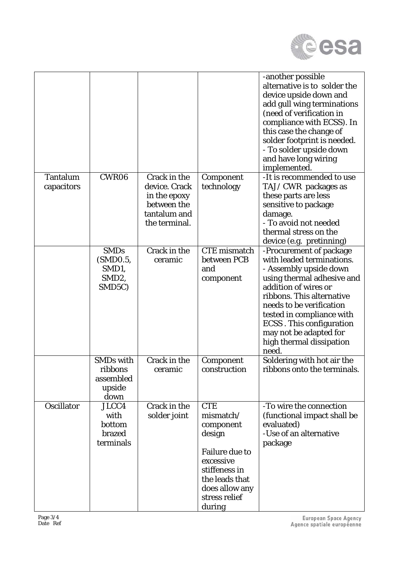

|                               |                                                                  |                                                                                               |                                                                                                                                                                      | -another possible<br>alternative is to solder the<br>device upside down and<br>add gull wing terminations<br>(need of verification in<br>compliance with ECSS). In<br>this case the change of<br>solder footprint is needed.<br>- To solder upside down<br>and have long wiring<br>implemented.                                                           |
|-------------------------------|------------------------------------------------------------------|-----------------------------------------------------------------------------------------------|----------------------------------------------------------------------------------------------------------------------------------------------------------------------|-----------------------------------------------------------------------------------------------------------------------------------------------------------------------------------------------------------------------------------------------------------------------------------------------------------------------------------------------------------|
| <b>Tantalum</b><br>capacitors | CWR06                                                            | Crack in the<br>device. Crack<br>in the epoxy<br>between the<br>tantalum and<br>the terminal. | Component<br>technology                                                                                                                                              | -It is recommended to use<br>TAJ/CWR packages as<br>these parts are less<br>sensitive to package<br>damage.<br>- To avoid not needed<br>thermal stress on the                                                                                                                                                                                             |
|                               | <b>SMDs</b><br>(SMD0.5,<br>SMD1,<br>SMD <sub>2</sub> ,<br>SMD5C) | Crack in the<br>ceramic                                                                       | <b>CTE</b> mismatch<br>between PCB<br>and<br>component                                                                                                               | device (e.g. pretinning)<br>-Procurement of package<br>with leaded terminations.<br>- Assembly upside down<br>using thermal adhesive and<br>addition of wires or<br>ribbons. This alternative<br>needs to be verification<br>tested in compliance with<br><b>ECSS</b> . This configuration<br>may not be adapted for<br>high thermal dissipation<br>need. |
|                               | <b>SMDs with</b><br>ribbons<br>assembled<br>upside<br>down       | Crack in the<br>ceramic                                                                       | Component<br>construction                                                                                                                                            | Soldering with hot air the<br>ribbons onto the terminals.                                                                                                                                                                                                                                                                                                 |
| <b>Oscillator</b>             | JLCC4<br>with<br>bottom<br>brazed<br>terminals                   | Crack in the<br>solder joint                                                                  | <b>CTE</b><br>mismatch/<br>component<br>design<br><b>Failure due to</b><br>excessive<br>stiffeness in<br>the leads that<br>does allow any<br>stress relief<br>during | -To wire the connection<br>(functional impact shall be<br>evaluated)<br>-Use of an alternative<br>package                                                                                                                                                                                                                                                 |